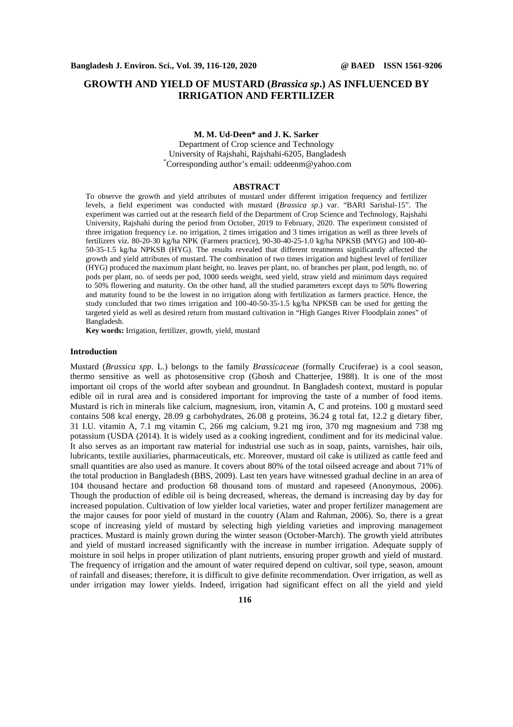# **GROWTH AND YIELD OF MUSTARD (***Brassica sp***.) AS INFLUENCED BY IRRIGATION AND FERTILIZER**

## **M. M. Ud-Deen\* and J. K. Sarker**

Department of Crop science and Technology University of Rajshahi, Rajshahi-6205, Bangladesh \*Corresponding author's email: uddeenm@yahoo.com

## **ABSTRACT**

To observe the growth and yield attributes of mustard under different irrigation frequency and fertilizer levels, a field experiment was conducted with mustard (*Brassica sp*.) var. "BARI Sarishal-15". The experiment was carried out at the research field of the Department of Crop Science and Technology, Rajshahi University, Rajshahi during the period from October, 2019 to February, 2020. The experiment consisted of three irrigation frequency i.e. no irrigation, 2 times irrigation and 3 times irrigation as well as three levels of fertilizers viz. 80-20-30 kg/ha NPK (Farmers practice), 90-30-40-25-1.0 kg/ha NPKSB (MYG) and 100-40- 50-35-1.5 kg/ha NPKSB (HYG). The results revealed that different treatments significantly affected the growth and yield attributes of mustard. The combination of two times irrigation and highest level of fertilizer (HYG) produced the maximum plant height, no. leaves per plant, no. of branches per plant, pod length, no. of pods per plant, no. of seeds per pod, 1000 seeds weight, seed yield, straw yield and minimum days required to 50% flowering and maturity. On the other hand, all the studied parameters except days to 50% flowering and maturity found to be the lowest in no irrigation along with fertilization as farmers practice. Hence, the study concluded that two times irrigation and 100-40-50-35-1.5 kg/ha NPKSB can be used for getting the targeted yield as well as desired return from mustard cultivation in "High Ganges River Floodplain zones" of Bangladesh.

**Key words:** Irrigation, fertilizer, growth, yield, mustard

## **Introduction**

Mustard (*Brassica spp*. L.) belongs to the family *Brassicaceae* (formally Cruciferae) is a cool season, thermo sensitive as well as photosensitive crop (Ghosh and Chatterjee, 1988). It is one of the most important oil crops of the world after soybean and groundnut. In Bangladesh context, mustard is popular edible oil in rural area and is considered important for improving the taste of a number of food items. Mustard is rich in minerals like calcium, magnesium, iron, vitamin A, C and proteins. 100 g mustard seed contains 508 kcal energy, 28.09 g carbohydrates, 26.08 g proteins, 36.24 g total fat, 12.2 g dietary fiber, 31 I.U. vitamin A, 7.1 mg vitamin C, 266 mg calcium, 9.21 mg iron, 370 mg magnesium and 738 mg potassium (USDA (2014). It is widely used as a cooking ingredient, condiment and for its medicinal value. It also serves as an important raw material for industrial use such as in soap, paints, varnishes, hair oils, lubricants, textile auxiliaries, pharmaceuticals, etc. Moreover, mustard oil cake is utilized as cattle feed and small quantities are also used as manure. It covers about 80% of the total oilseed acreage and about 71% of the total production in Bangladesh (BBS, 2009). Last ten years have witnessed gradual decline in an area of 104 thousand hectare and production 68 thousand tons of mustard and rapeseed (Anonymous, 2006). Though the production of edible oil is being decreased, whereas, the demand is increasing day by day for increased population. Cultivation of low yielder local varieties, water and proper fertilizer management are the major causes for poor yield of mustard in the country (Alam and Rahman, 2006). So, there is a great scope of increasing yield of mustard by selecting high yielding varieties and improving management practices. Mustard is mainly grown during the winter season (October-March). The growth yield attributes and yield of mustard increased significantly with the increase in number irrigation. Adequate supply of moisture in soil helps in proper utilization of plant nutrients, ensuring proper growth and yield of mustard. The frequency of irrigation and the amount of water required depend on cultivar, soil type, season, amount of rainfall and diseases; therefore, it is difficult to give definite recommendation. Over irrigation, as well as under irrigation may lower yields. Indeed, irrigation had significant effect on all the yield and yield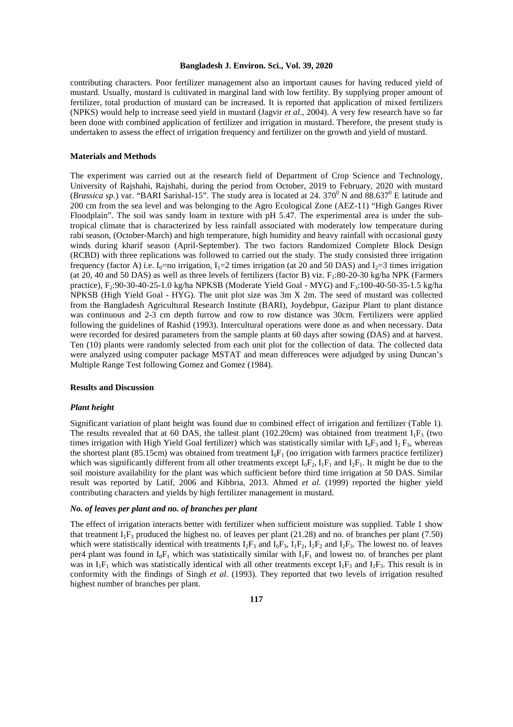contributing characters. Poor fertilizer management also an important causes for having reduced yield of mustard. Usually, mustard is cultivated in marginal land with low fertility. By supplying proper amount of fertilizer, total production of mustard can be increased. It is reported that application of mixed fertilizers (NPKS) would help to increase seed yield in mustard (Jagvir *et al*., 2004). A very few research have so far been done with combined application of fertilizer and irrigation in mustard. Therefore, the present study is undertaken to assess the effect of irrigation frequency and fertilizer on the growth and yield of mustard.

## **Materials and Methods**

The experiment was carried out at the research field of Department of Crop Science and Technology, University of Rajshahi, Rajshahi, during the period from October, 2019 to February, 2020 with mustard (*Brassica sp.*) var. "BARI Sarishal-15". The study area is located at 24. 370<sup>0</sup> N and 88.637<sup>0</sup> E latitude and 200 cm from the sea level and was belonging to the Agro Ecological Zone (AEZ-11) "High Ganges River Floodplain". The soil was sandy loam in texture with pH 5.47. The experimental area is under the subtropical climate that is characterized by less rainfall associated with moderately low temperature during rabi season, (October-March) and high temperature, high humidity and heavy rainfall with occasional gusty winds during kharif season (April-September). The two factors Randomized Complete Block Design (RCBD) with three replications was followed to carried out the study. The study consisted three irrigation frequency (factor A) i.e. I<sub>0</sub>=no irrigation, I<sub>1</sub>=2 times irrigation (at 20 and 50 DAS) and I<sub>2</sub>=3 times irrigation (at 20, 40 and 50 DAS) as well as three levels of fertilizers (factor B) viz.  $F_1:80-20-30$  kg/ha NPK (Farmers practice), F<sub>2</sub>:90-30-40-25-1.0 kg/ha NPKSB (Moderate Yield Goal - MYG) and F<sub>3</sub>:100-40-50-35-1.5 kg/ha NPKSB (High Yield Goal - HYG). The unit plot size was 3m X 2m. The seed of mustard was collected from the Bangladesh Agricultural Research Institute (BARI), Joydebpur, Gazipur Plant to plant distance was continuous and 2-3 cm depth furrow and row to row distance was 30cm. Fertilizers were applied following the guidelines of Rashid (1993). Intercultural operations were done as and when necessary. Data were recorded for desired parameters from the sample plants at 60 days after sowing (DAS) and at harvest. Ten (10) plants were randomly selected from each unit plot for the collection of data. The collected data were analyzed using computer package MSTAT and mean differences were adjudged by using Duncan's Multiple Range Test following Gomez and Gomez (1984).

#### **Results and Discussion**

## *Plant height*

Significant variation of plant height was found due to combined effect of irrigation and fertilizer (Table 1). The results revealed that at 60 DAS, the tallest plant (102.20cm) was obtained from treatment  $I_1F_3$  (two times irrigation with High Yield Goal fertilizer) which was statistically similar with  $I_0F_3$  and  $I_2F_3$ , whereas the shortest plant (85.15cm) was obtained from treatment  $I_0F_1$  (no irrigation with farmers practice fertilizer) which was significantly different from all other treatments except  $I_0F_2$ ,  $I_1F_1$  and  $I_2F_1$ . It might be due to the soil moisture availability for the plant was which sufficient before third time irrigation at 50 DAS. Similar result was reported by Latif, 2006 and Kibbria, 2013. Ahmed *et al.* (1999) reported the higher yield contributing characters and yields by high fertilizer management in mustard.

#### *No. of leaves per plant and no. of branches per plant*

The effect of irrigation interacts better with fertilizer when sufficient moisture was supplied. Table 1 show that treatment  $I_1F_3$  produced the highest no. of leaves per plant (21.28) and no. of branches per plant (7.50) which were statistically identical with treatments  $I_2F_3$  and  $I_0F_3$ ,  $I_1F_2$ ,  $I_2F_2$  and  $I_2F_3$ . The lowest no. of leaves per4 plant was found in  $I_0F_1$  which was statistically similar with  $I_1F_1$  and lowest no. of branches per plant was in  $I_1F_1$  which was statistically identical with all other treatments except  $I_1F_3$  and  $I_2F_3$ . This result is in conformity with the findings of Singh *et al*. (1993). They reported that two levels of irrigation resulted highest number of branches per plant.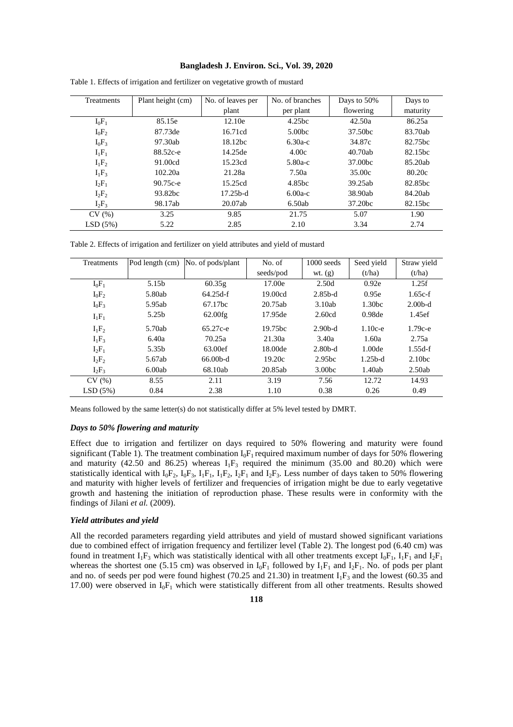| Treatments | Plant height (cm) | No. of leaves per | No. of branches   | Days to 50% | Days to             |
|------------|-------------------|-------------------|-------------------|-------------|---------------------|
|            |                   | plant             | per plant         | flowering   | maturity            |
| $I_0F_1$   | 85.15e            | 12.10e            | 4.25bc            | 42.50a      | 86.25a              |
| $I_0F_2$   | 87.73de           | 16.71cd           | 5.00 <sub>b</sub> | 37.50bc     | 83.70ab             |
| $I_0F_3$   | 97.30ab           | $18.12$ bc        | $6.30a-c$         | 34.87c      | 82.75 <sub>bc</sub> |
| $I_1F_1$   | 88.52c-e          | 14.25de           | 4.00c             | 40.70ab     | 82.15bc             |
| $I_1F_2$   | 91.00cd           | 15.23cd           | $5.80a-c$         | 37.00bc     | 85.20ab             |
| $I_1F_3$   | 102.20a           | 21.28a            | 7.50a             | 35.00c      | 80.20c              |
| $I_2F_1$   | 90.75c-e          | 15.25cd           | 4.85bc            | 39.25ab     | 82.85bc             |
| $I_2F_2$   | 93.82bc           | $17.25b-d$        | $6.00a-c$         | 38.90ab     | 84.20ab             |
| $I_2F_3$   | 98.17ab           | 20.07ab           | 6.50ab            | 37.20bc     | 82.15bc             |
| CV(%)      | 3.25              | 9.85              | 21.75             | 5.07        | 1.90                |
| LSD(5%)    | 5.22              | 2.85              | 2.10              | 3.34        | 2.74                |

|  |  | Table 1. Effects of irrigation and fertilizer on vegetative growth of mustard |
|--|--|-------------------------------------------------------------------------------|
|  |  |                                                                               |

Table 2. Effects of irrigation and fertilizer on yield attributes and yield of mustard

| Treatments | Pod length (cm) | No. of pods/plant   | No. of              | $1000$ seeds       | Seed yield         | Straw yield        |
|------------|-----------------|---------------------|---------------------|--------------------|--------------------|--------------------|
|            |                 |                     | seeds/pod           | wt. $(g)$          | (t/ha)             | (t/ha)             |
| $I_0F_1$   | 5.15b           | 60.35g              | 17.00e              | 2.50d              | 0.92e              | 1.25f              |
| $I_0F_2$   | 5.80ab          | $64.25d-f$          | 19.00cd             | $2.85b-d$          | 0.95e              | $1.65c-f$          |
| $I_0F_3$   | 5.95ab          | 67.17 <sub>bc</sub> | 20.75ab             | 3.10ab             | 1.30 <sub>bc</sub> | $2.00b-d$          |
| $I_1F_1$   | 5.25b           | 62.00fg             | 17.95de             | 2.60cd             | 0.98 <sub>de</sub> | 1.45ef             |
| $I_1F_2$   | 5.70ab          | $65.27c - e$        | 19.75 <sub>bc</sub> | $2.90b-d$          | $1.10c-e$          | $1.79c-e$          |
| $I_1F_3$   | 6.40a           | 70.25a              | 21.30a              | 3.40a              | 1.60a              | 2.75a              |
| $I_2F_1$   | 5.35b           | 63.00ef             | 18.00de             | $2.80b-d$          | 1.00 <sub>de</sub> | $1.55d-f$          |
| $I_2F_2$   | 5.67ab          | $66.00b-d$          | 19.20c              | 2.95 <sub>bc</sub> | $1.25b-d$          | 2.10 <sub>bc</sub> |
| $I_2F_3$   | 6.00ab          | 68.10ab             | 20.85ab             | 3.00 <sub>bc</sub> | 1.40ab             | 2.50ab             |
| CV(%)      | 8.55            | 2.11                | 3.19                | 7.56               | 12.72              | 14.93              |
| LSD(5%)    | 0.84            | 2.38                | 1.10                | 0.38               | 0.26               | 0.49               |

Means followed by the same letter(s) do not statistically differ at 5% level tested by DMRT.

## *Days to 50% flowering and maturity*

Effect due to irrigation and fertilizer on days required to 50% flowering and maturity were found significant (Table 1). The treatment combination  $I_0F_1$  required maximum number of days for 50% flowering and maturity (42.50 and 86.25) whereas  $I_1F_3$  required the minimum (35.00 and 80.20) which were statistically identical with  $I_0F_2$ ,  $I_0F_3$ ,  $I_1F_1$ ,  $I_1F_2$ ,  $I_2F_1$  and  $I_2F_3$ . Less number of days taken to 50% flowering and maturity with higher levels of fertilizer and frequencies of irrigation might be due to early vegetative growth and hastening the initiation of reproduction phase. These results were in conformity with the findings of Jilani et al. (2009).

#### *Yield attributes and yield*

All the recorded parameters regarding yield attributes and yield of mustard showed significant variations due to combined effect of irrigation frequency and fertilizer level (Table 2). The longest pod (6.40 cm) was found in treatment  $I_1F_3$  which was statistically identical with all other treatments except  $I_0F_1$ ,  $I_1F_1$  and  $I_2F_1$ whereas the shortest one (5.15 cm) was observed in  $I_0F_1$  followed by  $I_1F_1$  and  $I_2F_1$ . No. of pods per plant and no. of seeds per pod were found highest (70.25 and 21.30) in treatment  $I_1F_3$  and the lowest (60.35 and 17.00) were observed in  $I_0F_1$  which were statistically different from all other treatments. Results showed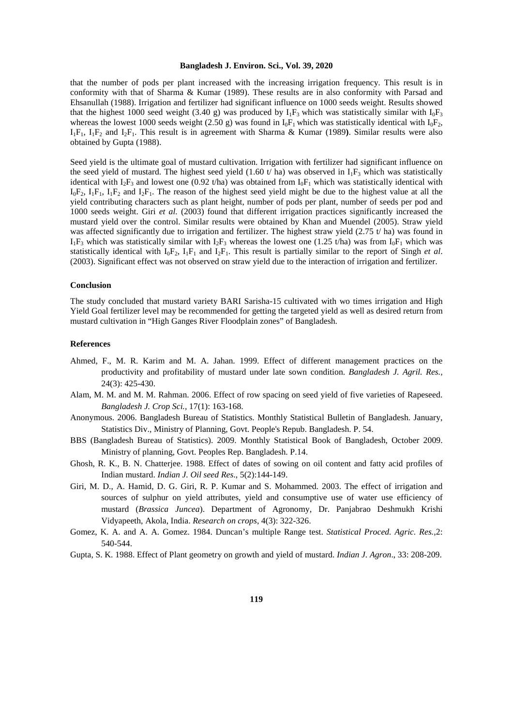that the number of pods per plant increased with the increasing irrigation frequency. This result is in conformity with that of Sharma & Kumar (1989). These results are in also conformity with Parsad and Ehsanullah (1988). Irrigation and fertilizer had significant influence on 1000 seeds weight. Results showed that the highest 1000 seed weight (3.40 g) was produced by  $I_1F_3$  which was statistically similar with  $I_0F_3$ whereas the lowest 1000 seeds weight (2.50 g) was found in  $I_0F_1$  which was statistically identical with  $I_0F_2$ ,  $I_1F_1$ ,  $I_1F_2$  and  $I_2F_1$ . This result is in agreement with Sharma & Kumar (1989). Similar results were also obtained by Gupta (1988).

Seed yield is the ultimate goal of mustard cultivation. Irrigation with fertilizer had significant influence on the seed yield of mustard. The highest seed yield (1.60 t/ ha) was observed in  $I_1F_3$  which was statistically identical with  $I_2F_3$  and lowest one (0.92 t/ha) was obtained from  $I_0F_1$  which was statistically identical with  $I_0F_2$ ,  $I_1F_1$ ,  $I_1F_2$  and  $I_2F_1$ . The reason of the highest seed yield might be due to the highest value at all the yield contributing characters such as plant height, number of pods per plant, number of seeds per pod and 1000 seeds weight. Giri *et al.* (2003) found that different irrigation practices significantly increased the mustard yield over the control. Similar results were obtained by Khan and Muendel (2005). Straw yield was affected significantly due to irrigation and fertilizer. The highest straw yield  $(2.75 t / ha)$  was found in  $I_1F_3$  which was statistically similar with  $I_2F_3$  whereas the lowest one (1.25 t/ha) was from  $I_0F_1$  which was statistically identical with  $I_0F_2$ ,  $I_1F_1$  and  $I_2F_1$ . This result is partially similar to the report of Singh *et al.* (2003). Significant effect was not observed on straw yield due to the interaction of irrigation and fertilizer.

## **Conclusion**

The study concluded that mustard variety BARI Sarisha-15 cultivated with wo times irrigation and High Yield Goal fertilizer level may be recommended for getting the targeted yield as well as desired return from mustard cultivation in "High Ganges River Floodplain zones" of Bangladesh.

# **References**

- Ahmed, F., M. R. Karim and M. A. Jahan. 1999. Effect of different management practices on the productivity and profitability of mustard under late sown condition. *Bangladesh J. Agril. Res.,*  24(3): 425-430.
- Alam, M. M. and M. M. Rahman. 2006. Effect of row spacing on seed yield of five varieties of Rapeseed. *Bangladesh J. Crop Sci.,* 17(1): 163-168.
- Anonymous. 2006. Bangladesh Bureau of Statistics. Monthly Statistical Bulletin of Bangladesh. January, Statistics Div., Ministry of Planning, Govt. People's Repub. Bangladesh. P. 54.
- BBS (Bangladesh Bureau of Statistics). 2009. Monthly Statistical Book of Bangladesh, October 2009. Ministry of planning, Govt. Peoples Rep. Bangladesh. P.14.
- Ghosh, R. K., B. N. Chatterjee. 1988. Effect of dates of sowing on oil content and fatty acid profiles of Indian mustard. *Indian J. Oil seed Res*., 5(2):144-149.
- Giri, M. D., A. Hamid, D. G. Giri, R. P. Kumar and S. Mohammed. 2003. The effect of irrigation and sources of sulphur on yield attributes, yield and consumptive use of water use efficiency of mustard (*Brassica Juncea*). Department of Agronomy, Dr. Panjabrao Deshmukh Krishi Vidyapeeth, Akola, India. *Research on crops*, 4(3): 322-326.
- Gomez, K. A. and A. A. Gomez. 1984. Duncan's multiple Range test. *Statistical Proced. Agric. Res.,*2: 540-544.
- Gupta, S. K. 1988. Effect of Plant geometry on growth and yield of mustard. *Indian J. Agron*., 33: 208-209.